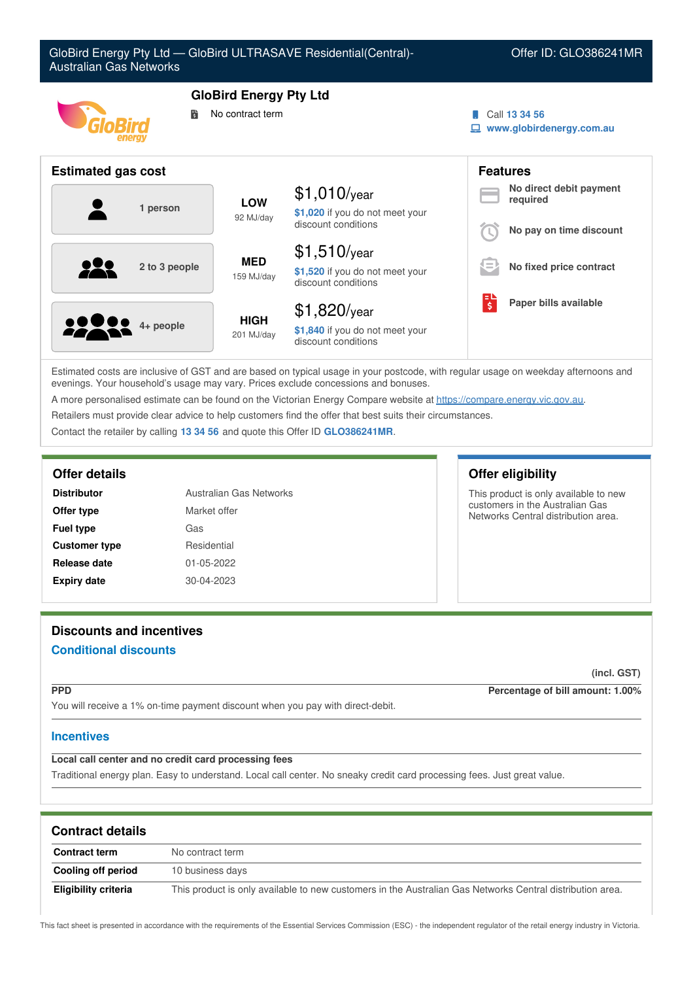

Estimated costs are inclusive of GST and are based on typical usage in your postcode, with regular usage on weekday afternoons and evenings. Your household's usage may vary. Prices exclude concessions and bonuses.

A more personalised estimate can be found on the Victorian Energy Compare website at <https://compare.energy.vic.gov.au>.

Retailers must provide clear advice to help customers find the offer that best suits their circumstances.

Contact the retailer by calling **13 34 56** and quote this Offer ID **GLO386241MR**.

| <b>Distributor</b>   | Australian Gas Networks |  |
|----------------------|-------------------------|--|
| Offer type           | Market offer            |  |
| <b>Fuel type</b>     | Gas                     |  |
| <b>Customer type</b> | Residential             |  |
| Release date         | 01-05-2022              |  |
| <b>Expiry date</b>   | 30-04-2023              |  |

# **Discounts and incentives**

# **Conditional discounts**

**(incl. GST)**

**PPD Percentage of bill amount: 1.00%**

You will receive a 1% on-time payment discount when you pay with direct-debit.

# **Incentives**

# **Local call center and no credit card processing fees**

Traditional energy plan. Easy to understand. Local call center. No sneaky credit card processing fees. Just great value.

| <b>Contract details</b> |                                                                                                           |
|-------------------------|-----------------------------------------------------------------------------------------------------------|
| <b>Contract term</b>    | No contract term                                                                                          |
| Cooling off period      | 10 business days                                                                                          |
| Eligibility criteria    | This product is only available to new customers in the Australian Gas Networks Central distribution area. |

This fact sheet is presented in accordance with the requirements of the Essential Services Commission (ESC) - the independent regulator of the retail energy industry in Victoria.

# **Offer details Offer eligibility**

This product is only available to new customers in the Australian Gas Networks Central distribution area.